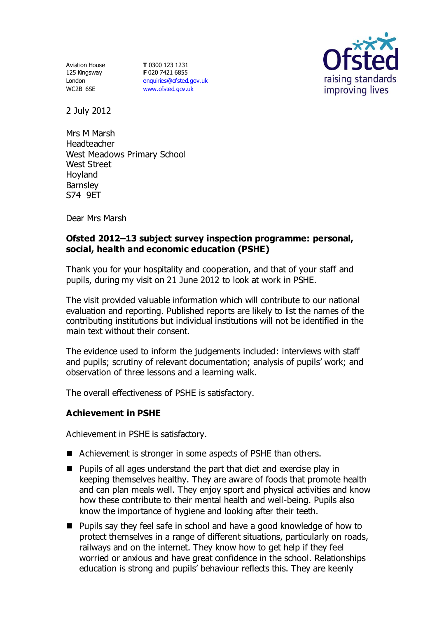Aviation House 125 Kingsway London WC2B 6SE

**T** 0300 123 1231 **F** 020 7421 6855 [enquiries@ofsted.gov.uk](mailto:enquiries@ofsted.gov.uk) [www.ofsted.gov.uk](http://www.ofsted.gov.uk/)



2 July 2012

Mrs M Marsh Headteacher West Meadows Primary School West Street Hoyland **Barnsley** S74 9ET

Dear Mrs Marsh

# **Ofsted 2012–13 subject survey inspection programme: personal, social, health and economic education (PSHE)**

Thank you for your hospitality and cooperation, and that of your staff and pupils, during my visit on 21 June 2012 to look at work in PSHE.

The visit provided valuable information which will contribute to our national evaluation and reporting. Published reports are likely to list the names of the contributing institutions but individual institutions will not be identified in the main text without their consent.

The evidence used to inform the judgements included: interviews with staff and pupils; scrutiny of relevant documentation; analysis of pupils' work; and observation of three lessons and a learning walk.

The overall effectiveness of PSHE is satisfactory.

## **Achievement in PSHE**

Achievement in PSHE is satisfactory.

- Achievement is stronger in some aspects of PSHE than others.
- Pupils of all ages understand the part that diet and exercise play in keeping themselves healthy. They are aware of foods that promote health and can plan meals well. They enjoy sport and physical activities and know how these contribute to their mental health and well-being. Pupils also know the importance of hygiene and looking after their teeth.
- Pupils say they feel safe in school and have a good knowledge of how to protect themselves in a range of different situations, particularly on roads, railways and on the internet. They know how to get help if they feel worried or anxious and have great confidence in the school. Relationships education is strong and pupils' behaviour reflects this. They are keenly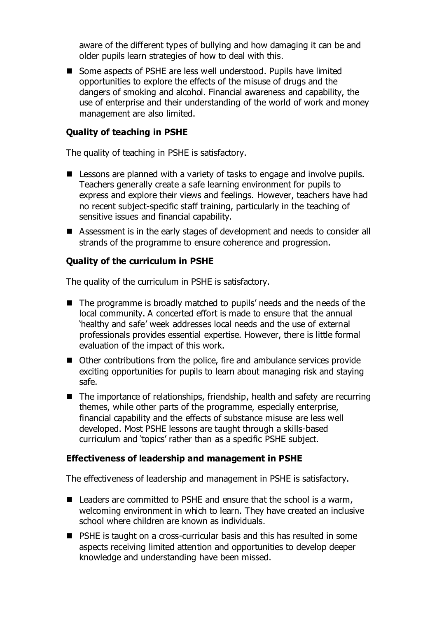aware of the different types of bullying and how damaging it can be and older pupils learn strategies of how to deal with this.

■ Some aspects of PSHE are less well understood. Pupils have limited opportunities to explore the effects of the misuse of drugs and the dangers of smoking and alcohol. Financial awareness and capability, the use of enterprise and their understanding of the world of work and money management are also limited.

### **Quality of teaching in PSHE**

The quality of teaching in PSHE is satisfactory.

- E Lessons are planned with a variety of tasks to engage and involve pupils. Teachers generally create a safe learning environment for pupils to express and explore their views and feelings. However, teachers have had no recent subject-specific staff training, particularly in the teaching of sensitive issues and financial capability.
- Assessment is in the early stages of development and needs to consider all strands of the programme to ensure coherence and progression.

### **Quality of the curriculum in PSHE**

The quality of the curriculum in PSHE is satisfactory.

- The programme is broadly matched to pupils' needs and the needs of the local community. A concerted effort is made to ensure that the annual 'healthy and safe' week addresses local needs and the use of external professionals provides essential expertise. However, there is little formal evaluation of the impact of this work.
- Other contributions from the police, fire and ambulance services provide exciting opportunities for pupils to learn about managing risk and staying safe.
- The importance of relationships, friendship, health and safety are recurring themes, while other parts of the programme, especially enterprise, financial capability and the effects of substance misuse are less well developed. Most PSHE lessons are taught through a skills-based curriculum and 'topics' rather than as a specific PSHE subject.

#### **Effectiveness of leadership and management in PSHE**

The effectiveness of leadership and management in PSHE is satisfactory.

- Leaders are committed to PSHE and ensure that the school is a warm, welcoming environment in which to learn. They have created an inclusive school where children are known as individuals.
- PSHE is taught on a cross-curricular basis and this has resulted in some aspects receiving limited attention and opportunities to develop deeper knowledge and understanding have been missed.